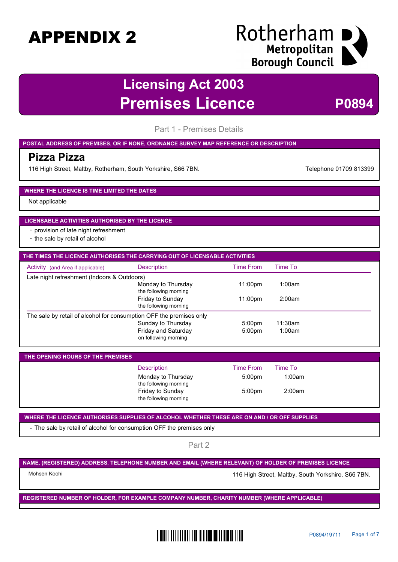### Rotherham I Metropolitan **Borough Council**

### **Licensing Act 2003 Premises Licence <b>P0894**

Part 1 - Premises Details

#### **POSTAL ADDRESS OF PREMISES, OR IF NONE, ORDNANCE SURVEY MAP REFERENCE OR DESCRIPTION**

### **Pizza Pizza**

116 High Street, Maltby, Rotherham, South Yorkshire, S66 7BN. The Contract of the Telephone 01709 813399

#### **WHERE THE LICENCE IS TIME LIMITED THE DATES**

Not applicable

#### **LICENSABLE ACTIVITIES AUTHORISED BY THE LICENCE**

- provision of late night refreshment
- the sale by retail of alcohol

| THE TIMES THE LICENCE AUTHORISES THE CARRYING OUT OF LICENSABLE ACTIVITIES |                                                  |                    |         |  |
|----------------------------------------------------------------------------|--------------------------------------------------|--------------------|---------|--|
| Activity (and Area if applicable)                                          | <b>Description</b>                               | <b>Time From</b>   | Time To |  |
| Late night refreshment (Indoors & Outdoors)                                |                                                  |                    |         |  |
|                                                                            | Monday to Thursday<br>the following morning      | 11:00pm            | 1:00am  |  |
|                                                                            | <b>Friday to Sunday</b><br>the following morning | 11:00pm            | 2:00am  |  |
| The sale by retail of alcohol for consumption OFF the premises only        |                                                  |                    |         |  |
|                                                                            | Sunday to Thursday                               | 5:00 <sub>pm</sub> | 11:30am |  |
|                                                                            | Friday and Saturday<br>on following morning      | 5:00 <sub>pm</sub> | 1:00am  |  |

| THE OPENING HOURS OF THE PREMISES |                                             |                    |         |  |
|-----------------------------------|---------------------------------------------|--------------------|---------|--|
|                                   | <b>Description</b>                          | <b>Time From</b>   | Time To |  |
|                                   | Monday to Thursday<br>the following morning | 5:00 <sub>pm</sub> | 1:00am  |  |
|                                   | Friday to Sunday<br>the following morning   | 5:00 <sub>pm</sub> | 2:00am  |  |

**WHERE THE LICENCE AUTHORISES SUPPLIES OF ALCOHOL WHETHER THESE ARE ON AND / OR OFF SUPPLIES**

- The sale by retail of alcohol for consumption OFF the premises only

Part 2

**NAME, (REGISTERED) ADDRESS, TELEPHONE NUMBER AND EMAIL (WHERE RELEVANT) OF HOLDER OF PREMISES LICENCE**

Mohsen Koohi **116 High Street, Maltby, South Yorkshire, S66 7BN.** 

**REGISTERED NUMBER OF HOLDER, FOR EXAMPLE COMPANY NUMBER, CHARITY NUMBER (WHERE APPLICABLE)**

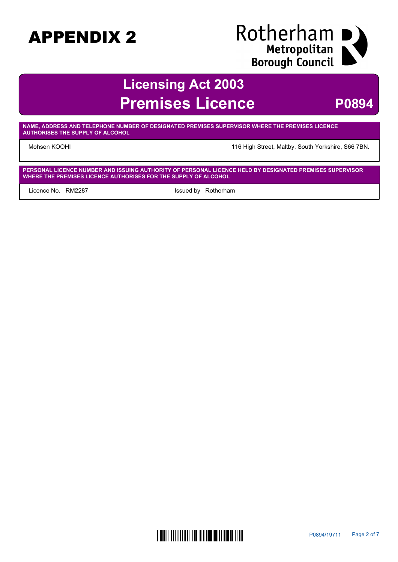# Rotherham I Bource Histric<br>
Borough Council

### **Licensing Act 2003 Premises Licence P0894**

**NAME, ADDRESS AND TELEPHONE NUMBER OF DESIGNATED PREMISES SUPERVISOR WHERE THE PREMISES LICENCE AUTHORISES THE SUPPLY OF ALCOHOL**

Mohsen KOOHI 116 High Street, Maltby, South Yorkshire, S66 7BN.

**PERSONAL LICENCE NUMBER AND ISSUING AUTHORITY OF PERSONAL LICENCE HELD BY DESIGNATED PREMISES SUPERVISOR WHERE THE PREMISES LICENCE AUTHORISES FOR THE SUPPLY OF ALCOHOL**

Licence No. RM2287 and South and Supervisors and Issued by Rotherham

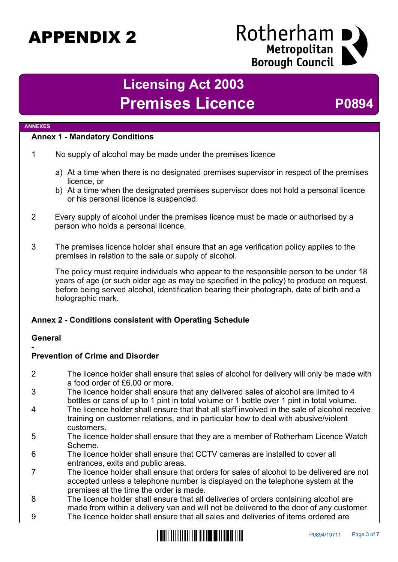### Rotherham Metropolitan **Borough Council**

## **Licensing Act 2003 Premises Licence <b>P0894**

#### **ANNEXES**

### **Annex 1 - Mandatory Conditions**

- 1 No supply of alcohol may be made under the premises licence
	- a) At a time when there is no designated premises supervisor in respect of the premises licence, or
	- b) At a time when the designated premises supervisor does not hold a personal licence or his personal licence is suspended.
- 2 Every supply of alcohol under the premises licence must be made or authorised by a person who holds a personal licence.
- 3 The premises licence holder shall ensure that an age verification policy applies to the premises in relation to the sale or supply of alcohol.

The policy must require individuals who appear to the responsible person to be under 18 years of age (or such older age as may be specified in the policy) to produce on request, before being served alcohol, identification bearing their photograph, date of birth and a holographic mark.

### **Annex 2 - Conditions consistent with Operating Schedule**

### **General**

### - **Prevention of Crime and Disorder**

- 2 The licence holder shall ensure that sales of alcohol for delivery will only be made with a food order of £6.00 or more.
- 3 The licence holder shall ensure that any delivered sales of alcohol are limited to 4 bottles or cans of up to 1 pint in total volume or 1 bottle over 1 pint in total volume.
- 4 The licence holder shall ensure that that all staff involved in the sale of alcohol receive training on customer relations, and in particular how to deal with abusive/violent customers.
- 5 The licence holder shall ensure that they are a member of Rotherham Licence Watch Scheme.
- 6 The licence holder shall ensure that CCTV cameras are installed to cover all entrances, exits and public areas.
- 7 The licence holder shall ensure that orders for sales of alcohol to be delivered are not accepted unless a telephone number is displayed on the telephone system at the premises at the time the order is made.
- 8 The licence holder shall ensure that all deliveries of orders containing alcohol are made from within a delivery van and will not be delivered to the door of any customer.
- 9 The licence holder shall ensure that all sales and deliveries of items ordered are

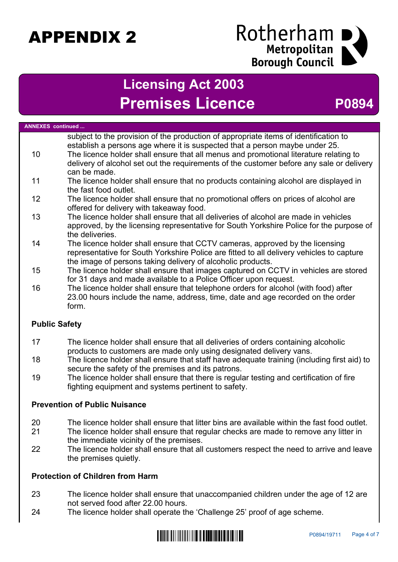### Rotherham I Metropolitan **Borough Council**

### **Licensing Act 2003 Premises Licence <b>P0894**

| <b>ANNEXES</b> continued |                                                                                                                                                                                                                                                                                                                                                                          |
|--------------------------|--------------------------------------------------------------------------------------------------------------------------------------------------------------------------------------------------------------------------------------------------------------------------------------------------------------------------------------------------------------------------|
| 10 <sup>°</sup>          | subject to the provision of the production of appropriate items of identification to<br>establish a persons age where it is suspected that a person maybe under 25.<br>The licence holder shall ensure that all menus and promotional literature relating to<br>delivery of alcohol set out the requirements of the customer before any sale or delivery<br>can be made. |
| 11                       | The licence holder shall ensure that no products containing alcohol are displayed in<br>the fast food outlet.                                                                                                                                                                                                                                                            |
| 12                       | The licence holder shall ensure that no promotional offers on prices of alcohol are<br>offered for delivery with takeaway food.                                                                                                                                                                                                                                          |
| 13                       | The licence holder shall ensure that all deliveries of alcohol are made in vehicles<br>approved, by the licensing representative for South Yorkshire Police for the purpose of<br>the deliveries.                                                                                                                                                                        |
| 14                       | The licence holder shall ensure that CCTV cameras, approved by the licensing<br>representative for South Yorkshire Police are fitted to all delivery vehicles to capture<br>the image of persons taking delivery of alcoholic products.                                                                                                                                  |
| 15                       | The licence holder shall ensure that images captured on CCTV in vehicles are stored<br>for 31 days and made available to a Police Officer upon request.                                                                                                                                                                                                                  |
| 16                       | The licence holder shall ensure that telephone orders for alcohol (with food) after<br>23.00 hours include the name, address, time, date and age recorded on the order<br>form.                                                                                                                                                                                          |
| <b>Public Safety</b>     |                                                                                                                                                                                                                                                                                                                                                                          |
| 17                       | The licence holder shall ensure that all deliveries of orders containing alcoholic<br>products to customers are made only using designated delivery vans.                                                                                                                                                                                                                |
| 1 O                      | The license holder aboll ensure that staff hove adoquate training (including first aid) to                                                                                                                                                                                                                                                                               |

- 18 The licence holder shall ensure that staff have adequate training (including first aid) to secure the safety of the premises and its patrons.
- 19 The licence holder shall ensure that there is regular testing and certification of fire fighting equipment and systems pertinent to safety.

### **Prevention of Public Nuisance**

- 20 The licence holder shall ensure that litter bins are available within the fast food outlet.
- 21 The licence holder shall ensure that regular checks are made to remove any litter in the immediate vicinity of the premises.
- 22 The licence holder shall ensure that all customers respect the need to arrive and leave the premises quietly.

### **Protection of Children from Harm**

- 23 The licence holder shall ensure that unaccompanied children under the age of 12 are not served food after 22.00 hours.
- 24 The licence holder shall operate the 'Challenge 25' proof of age scheme.

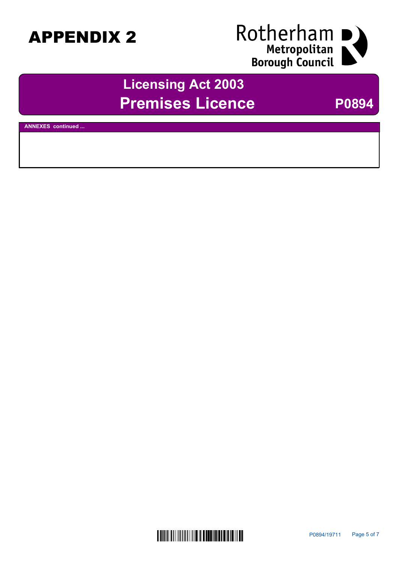

## **Licensing Act 2003 Premises Licence** P0894

**ANNEXES continued ...**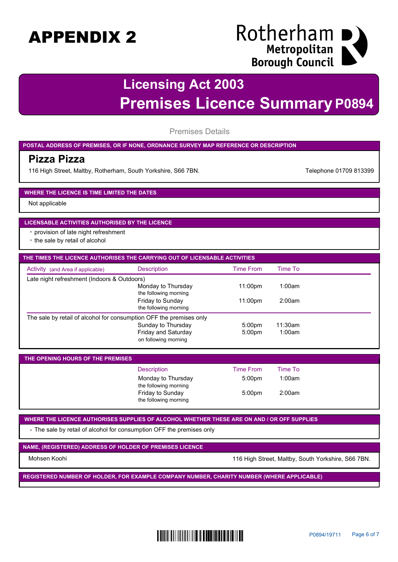### Rotherham I Metropolitan **Borough Council**

## **Licensing Act 2003 Premises Licence Summary P0894**

Premises Details

### **POSTAL ADDRESS OF PREMISES, OR IF NONE, ORDNANCE SURVEY MAP REFERENCE OR DESCRIPTION**

### **Pizza Pizza**

116 High Street, Maltby, Rotherham, South Yorkshire, S66 7BN. Telephone 01709 813399

#### **WHERE THE LICENCE IS TIME LIMITED THE DATES**

Not applicable

#### **LICENSABLE ACTIVITIES AUTHORISED BY THE LICENCE**

- provision of late night refreshment

- the sale by retail of alcohol

| THE TIMES THE LICENCE AUTHORISES THE CARRYING OUT OF LICENSABLE ACTIVITIES |                                             |                     |         |
|----------------------------------------------------------------------------|---------------------------------------------|---------------------|---------|
| Activity (and Area if applicable)                                          | <b>Description</b>                          | <b>Time From</b>    | Time To |
| Late night refreshment (Indoors & Outdoors)                                |                                             |                     |         |
|                                                                            | Monday to Thursday<br>the following morning | 11:00 <sub>pm</sub> | 1:00am  |
|                                                                            | Friday to Sunday<br>the following morning   | 11:00pm             | 2:00am  |
| The sale by retail of alcohol for consumption OFF the premises only        |                                             |                     |         |
|                                                                            | Sunday to Thursday                          | 5:00 <sub>pm</sub>  | 11:30am |
|                                                                            | Friday and Saturday<br>on following morning | 5:00 <sub>pm</sub>  | 1:00am  |

| THE OPENING HOURS OF THE PREMISES |                                             |                    |         |
|-----------------------------------|---------------------------------------------|--------------------|---------|
|                                   | <b>Description</b>                          | <b>Time From</b>   | Time To |
|                                   | Monday to Thursday<br>the following morning | 5:00 <sub>pm</sub> | 1:00am  |
|                                   | Friday to Sunday<br>the following morning   | 5:00 <sub>pm</sub> | 2:00am  |

**WHERE THE LICENCE AUTHORISES SUPPLIES OF ALCOHOL WHETHER THESE ARE ON AND / OR OFF SUPPLIES**

- The sale by retail of alcohol for consumption OFF the premises only

**NAME, (REGISTERED) ADDRESS OF HOLDER OF PREMISES LICENCE**

Mohsen Koohi 116 High Street, Maltby, South Yorkshire, S66 7BN.

**REGISTERED NUMBER OF HOLDER, FOR EXAMPLE COMPANY NUMBER, CHARITY NUMBER (WHERE APPLICABLE)**